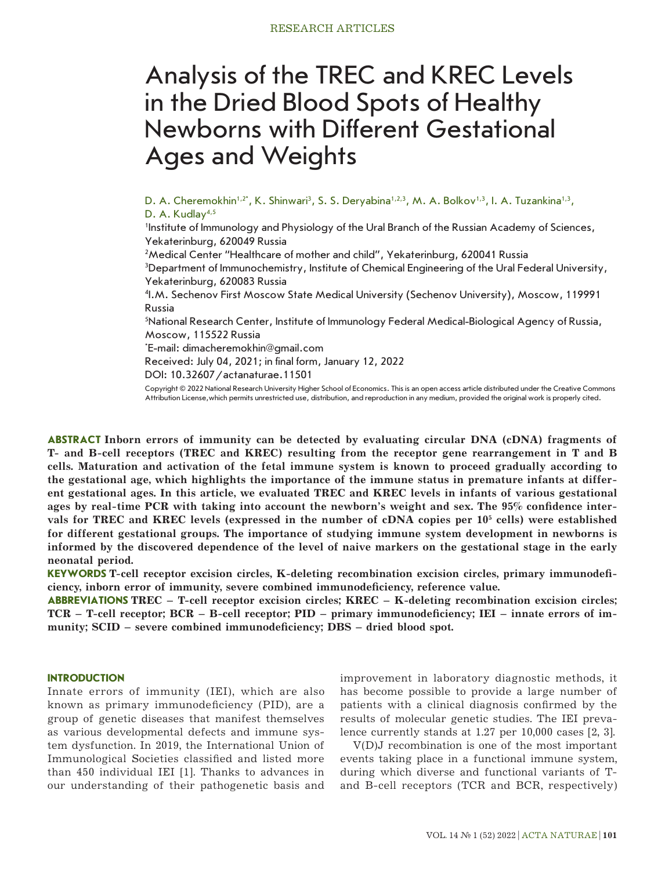# Analysis of the TREC and KREC Levels in the Dried Blood Spots of Healthy Newborns with Different Gestational Ages and Weights

D. A. Cheremokhin<sup>1,2</sup>\*, K. Shinwari<sup>3</sup>, S. S. Deryabina<sup>1,2,3</sup>, M. A. Bolkov<sup>1,3</sup>, I. A. Tuzankina<sup>1,3</sup>, D. A. Kudlay<sup>4,5</sup>

1 Institute of Immunology and Physiology of the Ural Branch of the Russian Academy of Sciences, Yekaterinburg, 620049 Russia

 $^2$ Medical Center "Healthcare of mother and child", Yekaterinburg, 620041 Russia

3 Department of Immunochemistry, Institute of Chemical Engineering of the Ural Federal University, Yekaterinburg, 620083 Russia

4 I.M. Sechenov First Moscow State Medical University (Sechenov University), Moscow, 119991 Russia

5 National Research Center, Institute of Immunology Federal Medical-Biological Agency of Russia, Moscow, 115522 Russia

\* E-mail: dimacheremokhin@gmail.com

Received: July 04, 2021; in final form, January 12, 2022

DOI: 10.32607/actanaturae.11501

Copyright © 2022 National Research University Higher School of Economics. This is an open access article distributed under the Creative Commons Attribution License,which permits unrestricted use, distribution, and reproduction in any medium, provided the original work is properly cited.

**ABSTRACT Inborn errors of immunity can be detected by evaluating circular DNA (cDNA) fragments of T- and B-cell receptors (TREC and KREC) resulting from the receptor gene rearrangement in T and B cells. Maturation and activation of the fetal immune system is known to proceed gradually according to the gestational age, which highlights the importance of the immune status in premature infants at different gestational ages. In this article, we evaluated TREC and KREC levels in infants of various gestational ages by real-time PCR with taking into account the newborn's weight and sex. The 95% confidence inter**vals for TREC and KREC levels (expressed in the number of cDNA copies per 10<sup>5</sup> cells) were established **for different gestational groups. The importance of studying immune system development in newborns is informed by the discovered dependence of the level of naive markers on the gestational stage in the early neonatal period.**

**KEYWORDS T-cell receptor excision circles, K-deleting recombination excision circles, primary immunodeficiency, inborn error of immunity, severe combined immunodeficiency, reference value.**

**ABBREVIATIONS TREC – T-cell receptor excision circles; KREC – K-deleting recombination excision circles; TCR – T-cell receptor; BCR – B-cell receptor; PID – primary immunodeficiency; IEI – innate errors of immunity; SCID – severe combined immunodeficiency; DBS – dried blood spot.**

## **INTRODUCTION**

Innate errors of immunity (IEI), which are also known as primary immunodeficiency (PID), are a group of genetic diseases that manifest themselves as various developmental defects and immune system dysfunction. In 2019, the International Union of Immunological Societies classified and listed more than 450 individual IEI [1]. Thanks to advances in our understanding of their pathogenetic basis and

improvement in laboratory diagnostic methods, it has become possible to provide a large number of patients with a clinical diagnosis confirmed by the results of molecular genetic studies. The IEI prevalence currently stands at 1.27 per 10,000 cases [2, 3].

V(D)J recombination is one of the most important events taking place in a functional immune system, during which diverse and functional variants of Tand B-cell receptors (TCR and BCR, respectively)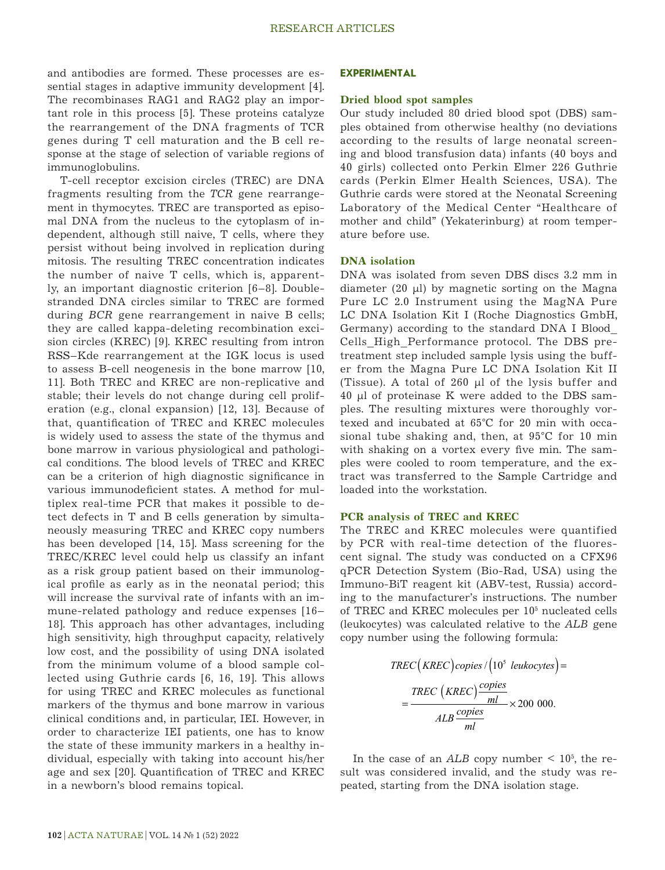and antibodies are formed. These processes are essential stages in adaptive immunity development [4]. The recombinases RAG1 and RAG2 play an important role in this process [5]. These proteins catalyze the rearrangement of the DNA fragments of TCR genes during T cell maturation and the B cell response at the stage of selection of variable regions of immunoglobulins.

T-cell receptor excision circles (TREC) are DNA fragments resulting from the *TCR* gene rearrangement in thymocytes. TREC are transported as episomal DNA from the nucleus to the cytoplasm of independent, although still naive, T cells, where they persist without being involved in replication during mitosis. The resulting TREC concentration indicates the number of naive T cells, which is, apparently, an important diagnostic criterion [6–8]. Doublestranded DNA circles similar to TREC are formed during *BCR* gene rearrangement in naive B cells; they are called kappa-deleting recombination excision circles (KREC) [9]. KREC resulting from intron RSS–Kde rearrangement at the IGK locus is used to assess B-cell neogenesis in the bone marrow [10, 11]. Both TREC and KREC are non-replicative and stable; their levels do not change during cell proliferation (e.g., clonal expansion) [12, 13]. Because of that, quantification of TREC and KREC molecules is widely used to assess the state of the thymus and bone marrow in various physiological and pathological conditions. The blood levels of TREC and KREC can be a criterion of high diagnostic significance in various immunodeficient states. A method for multiplex real-time PCR that makes it possible to detect defects in T and B cells generation by simultaneously measuring TREC and KREC copy numbers has been developed [14, 15]. Mass screening for the TREC/KREC level could help us classify an infant as a risk group patient based on their immunological profile as early as in the neonatal period; this will increase the survival rate of infants with an immune-related pathology and reduce expenses [16– 18]. This approach has other advantages, including high sensitivity, high throughput capacity, relatively low cost, and the possibility of using DNA isolated from the minimum volume of a blood sample collected using Guthrie cards [6, 16, 19]. This allows for using TREC and KREC molecules as functional for using TREC and KREC molecules as functional  $\frac{TREC \ (KREC)^{\frac{CFFC}{}}}{\frac{mI}{\cos \theta}} \times$ clinical conditions and, in particular, IEI. However, in order to characterize IEI patients, one has to know the state of these immunity markers in a healthy individual, especially with taking into account his/her age and sex [20]. Quantification of TREC and KREC in a newborn's blood remains topical.

## **EXPERIMENTAL**

#### **Dried blood spot samples**

Our study included 80 dried blood spot (DBS) samples obtained from otherwise healthy (no deviations according to the results of large neonatal screening and blood transfusion data) infants (40 boys and 40 girls) collected onto Perkin Elmer 226 Guthrie cards (Perkin Elmer Health Sciences, USA). The Guthrie cards were stored at the Neonatal Screening Laboratory of the Medical Center "Healthcare of mother and child" (Yekaterinburg) at room temperature before use.

## **DNA isolation**

DNA was isolated from seven DBS discs 3.2 mm in diameter  $(20 \mu l)$  by magnetic sorting on the Magna Pure LC 2.0 Instrument using the MagNA Pure LC DNA Isolation Kit I (Roche Diagnostics GmbH, Germany) according to the standard DNA I Blood\_ Cells\_High\_Performance protocol. The DBS pretreatment step included sample lysis using the buffer from the Magna Pure LC DNA Isolation Kit II (Tissue). A total of 260 µl of the lysis buffer and 40 µl of proteinase K were added to the DBS samples. The resulting mixtures were thoroughly vortexed and incubated at 65°C for 20 min with occasional tube shaking and, then, at 95°C for 10 min with shaking on a vortex every five min. The samples were cooled to room temperature, and the extract was transferred to the Sample Cartridge and loaded into the workstation.

#### **PCR analysis of TREC and KREC**

The TREC and KREC molecules were quantified by PCR with real-time detection of the fluorescent signal. The study was conducted on a CFX96 qPCR Detection System (Bio-Rad, USA) using the Immuno-BiT reagent kit (ABV-test, Russia) according to the manufacturer's instructions. The number of TREC and KREC molecules per 10<sup>5</sup> nucleated cells (leukocytes) was calculated relative to the *ALB* gene copy number using the following formula:

$$
TREC (KREC) copies / (105 leukocytes)
$$
  
= 
$$
\frac{TREC (KREC) \frac{copies}{ml}}{ALB \frac{copies}{ml}} \times 200\ 000.
$$

In the case of an  $ALB$  copy number  $\leq 10^5$ , the result was considered invalid, and the study was repeated, starting from the DNA isolation stage.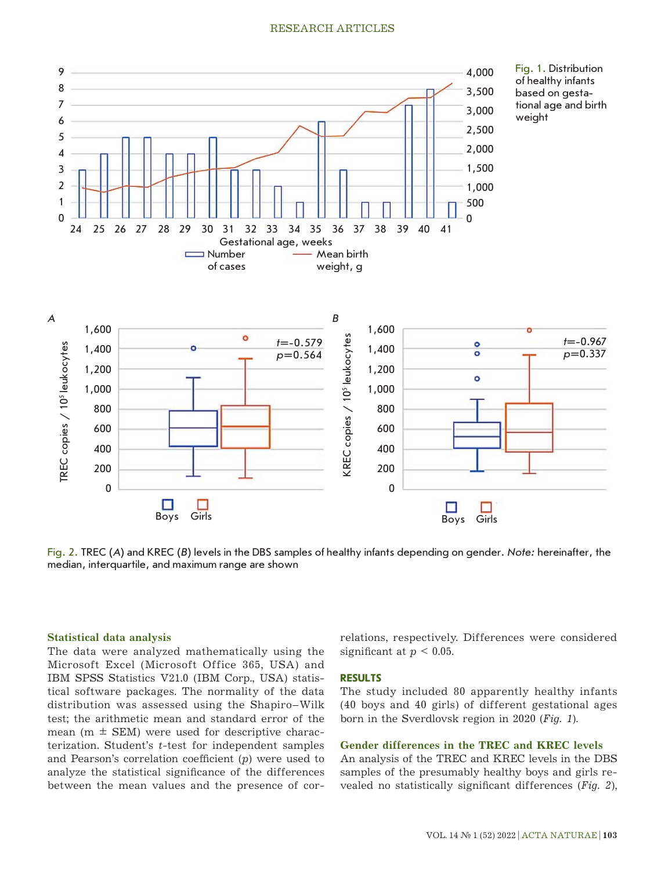

Fig. 2. TREC (*A*) and KREC (*B*) levels in the DBS samples of healthy infants depending on gender. *Note:* hereinafter, the median, interquartile, and maximum range are shown

## **Statistical data analysis**

The data were analyzed mathematically using the Microsoft Excel (Microsoft Office 365, USA) and IBM SPSS Statistics V21.0 (IBM Corp., USA) statistical software packages. The normality of the data distribution was assessed using the Shapiro–Wilk test; the arithmetic mean and standard error of the mean ( $m \pm$  SEM) were used for descriptive characterization. Student's *t*-test for independent samples and Pearson's correlation coefficient (*p*) were used to analyze the statistical significance of the differences between the mean values and the presence of correlations, respectively. Differences were considered significant at  $p < 0.05$ .

#### **RESULTS**

The study included 80 apparently healthy infants (40 boys and 40 girls) of different gestational ages born in the Sverdlovsk region in 2020 (*Fig. 1*).

#### **Gender differences in the TREC and KREC levels**

An analysis of the TREC and KREC levels in the DBS samples of the presumably healthy boys and girls revealed no statistically significant differences (*Fig. 2*),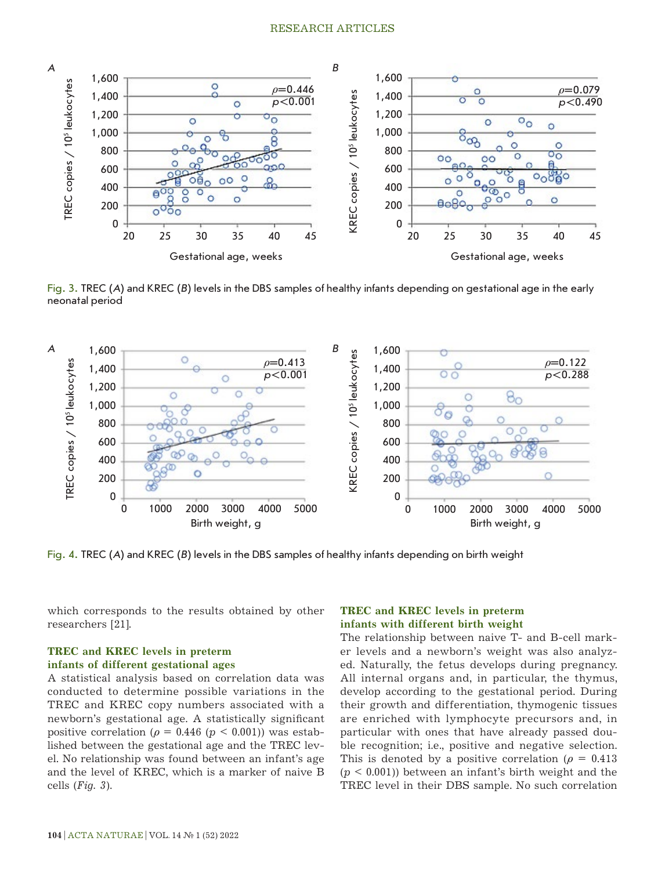

Fig. 3. TREC (*A*) and KREC (*B*) levels in the DBS samples of healthy infants depending on gestational age in the early neonatal period



Fig. 4. TREC (*A*) and KREC (*B*) levels in the DBS samples of healthy infants depending on birth weight

which corresponds to the results obtained by other researchers [21].

# **TREC and KREC levels in preterm infants of different gestational ages**

A statistical analysis based on correlation data was conducted to determine possible variations in the TREC and KREC copy numbers associated with a newborn's gestational age. A statistically significant positive correlation ( $\rho = 0.446$  ( $p < 0.001$ )) was established between the gestational age and the TREC level. No relationship was found between an infant's age and the level of KREC, which is a marker of naive B cells (*Fig. 3*).

# **TREC and KREC levels in preterm infants with different birth weight**

The relationship between naive T- and B-cell marker levels and a newborn's weight was also analyzed. Naturally, the fetus develops during pregnancy. All internal organs and, in particular, the thymus, develop according to the gestational period. During their growth and differentiation, thymogenic tissues are enriched with lymphocyte precursors and, in particular with ones that have already passed double recognition; i.e., positive and negative selection. This is denoted by a positive correlation ( $\rho = 0.413$ )  $(p < 0.001)$ ) between an infant's birth weight and the TREC level in their DBS sample. No such correlation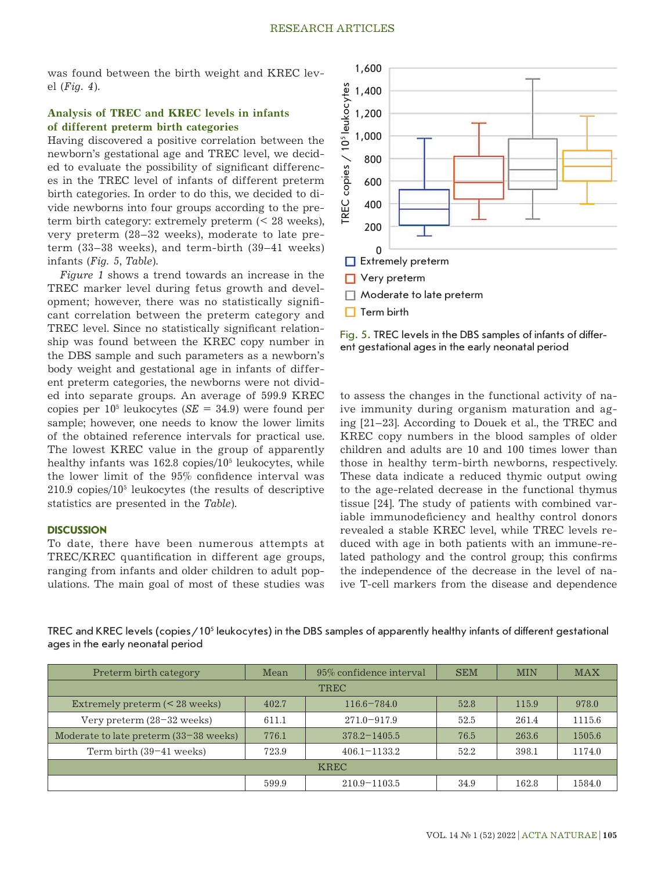was found between the birth weight and KREC level (*Fig. 4*).

# **Analysis of TREC and KREC levels in infants of different preterm birth categories**

Having discovered a positive correlation between the newborn's gestational age and TREC level, we decided to evaluate the possibility of significant differences in the TREC level of infants of different preterm birth categories. In order to do this, we decided to divide newborns into four groups according to the preterm birth category: extremely preterm (< 28 weeks), very preterm (28–32 weeks), moderate to late preterm (33–38 weeks), and term-birth (39–41 weeks) infants (*Fig. 5*, *Table*).

*Figure 1* shows a trend towards an increase in the TREC marker level during fetus growth and development; however, there was no statistically significant correlation between the preterm category and TREC level. Since no statistically significant relationship was found between the KREC copy number in the DBS sample and such parameters as a newborn's body weight and gestational age in infants of different preterm categories, the newborns were not divided into separate groups. An average of 599.9 KREC copies per  $10^5$  leukocytes (*SE* = 34.9) were found per sample; however, one needs to know the lower limits of the obtained reference intervals for practical use. The lowest KREC value in the group of apparently healthy infants was 162.8 copies/105 leukocytes, while the lower limit of the 95% confidence interval was 210.9 copies/105 leukocytes (the results of descriptive statistics are presented in the *Table*).

#### **DISCUSSION**

To date, there have been numerous attempts at TREC/KREC quantification in different age groups, ranging from infants and older children to adult populations. The main goal of most of these studies was



Fig. 5. TREC levels in the DBS samples of infants of differ-

to assess the changes in the functional activity of naive immunity during organism maturation and aging [21–23]. According to Douek et al., the TREC and KREC copy numbers in the blood samples of older children and adults are 10 and 100 times lower than those in healthy term-birth newborns, respectively. These data indicate a reduced thymic output owing to the age-related decrease in the functional thymus tissue [24]. The study of patients with combined variable immunodeficiency and healthy control donors revealed a stable KREC level, while TREC levels reduced with age in both patients with an immune-related pathology and the control group; this confirms the independence of the decrease in the level of naive T-cell markers from the disease and dependence

TREC and KREC levels (copies/10<sup>5</sup> leukocytes) in the DBS samples of apparently healthy infants of different gestational ages in the early neonatal period

| Preterm birth category                   | Mean  | 95% confidence interval | <b>SEM</b> | <b>MIN</b> | <b>MAX</b> |
|------------------------------------------|-------|-------------------------|------------|------------|------------|
| <b>TREC</b>                              |       |                         |            |            |            |
| Extremely preterm $(< 28$ weeks)         | 402.7 | $116.6 - 784.0$         | 52.8       | 115.9      | 978.0      |
| Very preterm $(28-32$ weeks)             | 611.1 | $271.0 - 917.9$         | 52.5       | 261.4      | 1115.6     |
| Moderate to late preterm $(33-38$ weeks) | 776.1 | $378.2 - 1405.5$        | 76.5       | 263.6      | 1505.6     |
| Term birth $(39-41$ weeks)               | 723.9 | $406.1 - 1133.2$        | 52.2       | 398.1      | 1174.0     |
| <b>KREC</b>                              |       |                         |            |            |            |
|                                          | 599.9 | $210.9 - 1103.5$        | 34.9       | 162.8      | 1584.0     |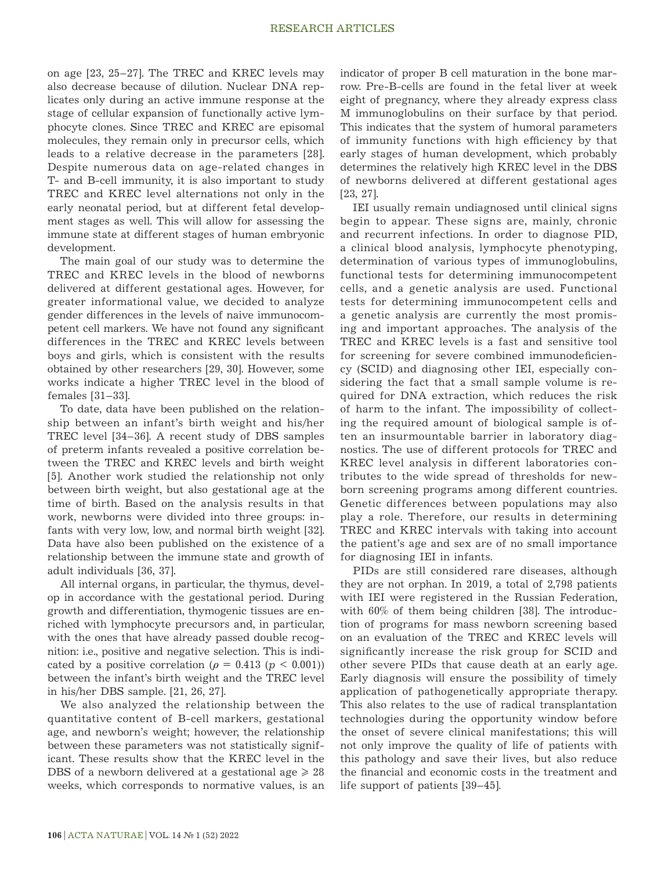on age [23, 25–27]. The TREC and KREC levels may also decrease because of dilution. Nuclear DNA replicates only during an active immune response at the stage of cellular expansion of functionally active lymphocyte clones. Since TREC and KREC are episomal molecules, they remain only in precursor cells, which leads to a relative decrease in the parameters [28]. Despite numerous data on age-related changes in T- and B-cell immunity, it is also important to study TREC and KREC level alternations not only in the early neonatal period, but at different fetal development stages as well. This will allow for assessing the immune state at different stages of human embryonic development.

The main goal of our study was to determine the TREC and KREC levels in the blood of newborns delivered at different gestational ages. However, for greater informational value, we decided to analyze gender differences in the levels of naive immunocompetent cell markers. We have not found any significant differences in the TREC and KREC levels between boys and girls, which is consistent with the results obtained by other researchers [29, 30]. However, some works indicate a higher TREC level in the blood of females [31–33].

To date, data have been published on the relationship between an infant's birth weight and his/her TREC level [34–36]. A recent study of DBS samples of preterm infants revealed a positive correlation between the TREC and KREC levels and birth weight [5]. Another work studied the relationship not only between birth weight, but also gestational age at the time of birth. Based on the analysis results in that work, newborns were divided into three groups: infants with very low, low, and normal birth weight [32]. Data have also been published on the existence of a relationship between the immune state and growth of adult individuals [36, 37].

All internal organs, in particular, the thymus, develop in accordance with the gestational period. During growth and differentiation, thymogenic tissues are enriched with lymphocyte precursors and, in particular, with the ones that have already passed double recognition: i.e., positive and negative selection. This is indicated by a positive correlation ( $\rho = 0.413$  ( $p < 0.001$ )) between the infant's birth weight and the TREC level in his/her DBS sample. [21, 26, 27].

We also analyzed the relationship between the quantitative content of B-cell markers, gestational age, and newborn's weight; however, the relationship between these parameters was not statistically significant. These results show that the KREC level in the DBS of a newborn delivered at a gestational age  $\geq 28$ weeks, which corresponds to normative values, is an indicator of proper B cell maturation in the bone marrow. Pre-B-cells are found in the fetal liver at week eight of pregnancy, where they already express class M immunoglobulins on their surface by that period. This indicates that the system of humoral parameters of immunity functions with high efficiency by that early stages of human development, which probably determines the relatively high KREC level in the DBS of newborns delivered at different gestational ages [23, 27].

IEI usually remain undiagnosed until clinical signs begin to appear. These signs are, mainly, chronic and recurrent infections. In order to diagnose PID, a clinical blood analysis, lymphocyte phenotyping, determination of various types of immunoglobulins, functional tests for determining immunocompetent cells, and a genetic analysis are used. Functional tests for determining immunocompetent cells and a genetic analysis are currently the most promising and important approaches. The analysis of the TREC and KREC levels is a fast and sensitive tool for screening for severe combined immunodeficiency (SCID) and diagnosing other IEI, especially considering the fact that a small sample volume is required for DNA extraction, which reduces the risk of harm to the infant. The impossibility of collecting the required amount of biological sample is often an insurmountable barrier in laboratory diagnostics. The use of different protocols for TREC and KREC level analysis in different laboratories contributes to the wide spread of thresholds for newborn screening programs among different countries. Genetic differences between populations may also play a role. Therefore, our results in determining TREC and KREC intervals with taking into account the patient's age and sex are of no small importance for diagnosing IEI in infants.

PIDs are still considered rare diseases, although they are not orphan. In 2019, a total of 2,798 patients with IEI were registered in the Russian Federation, with 60% of them being children [38]. The introduction of programs for mass newborn screening based on an evaluation of the TREC and KREC levels will significantly increase the risk group for SCID and other severe PIDs that cause death at an early age. Early diagnosis will ensure the possibility of timely application of pathogenetically appropriate therapy. This also relates to the use of radical transplantation technologies during the opportunity window before the onset of severe clinical manifestations; this will not only improve the quality of life of patients with this pathology and save their lives, but also reduce the financial and economic costs in the treatment and life support of patients [39–45].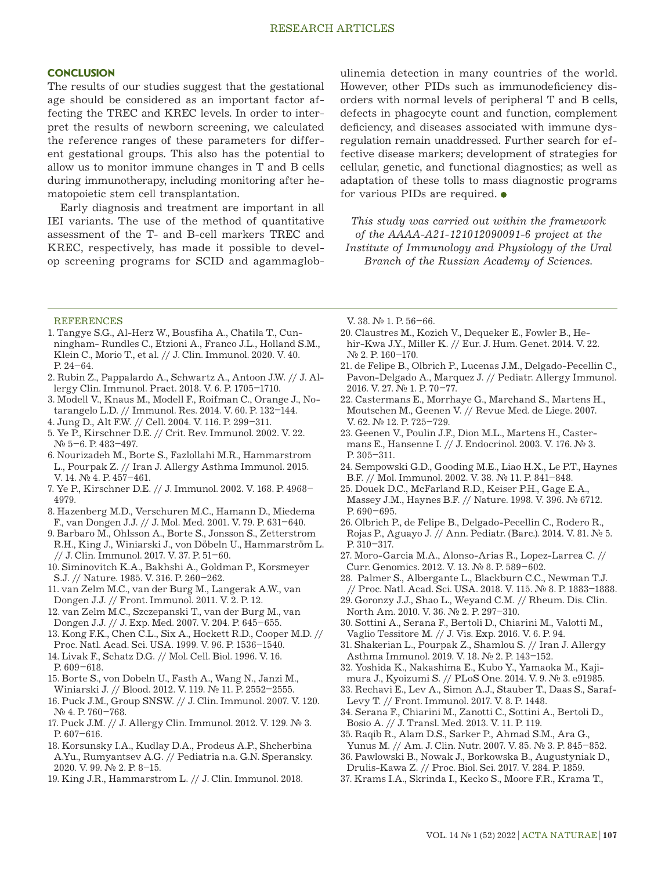#### **CONCLUSION**

The results of our studies suggest that the gestational age should be considered as an important factor affecting the TREC and KREC levels. In order to interpret the results of newborn screening, we calculated the reference ranges of these parameters for different gestational groups. This also has the potential to allow us to monitor immune changes in T and B cells during immunotherapy, including monitoring after hematopoietic stem cell transplantation.

Early diagnosis and treatment are important in all IEI variants. The use of the method of quantitative assessment of the T- and B-cell markers TREC and KREC, respectively, has made it possible to develop screening programs for SCID and agammaglobulinemia detection in many countries of the world. However, other PIDs such as immunodeficiency disorders with normal levels of peripheral T and B cells, defects in phagocyte count and function, complement deficiency, and diseases associated with immune dysregulation remain unaddressed. Further search for effective disease markers; development of strategies for cellular, genetic, and functional diagnostics; as well as adaptation of these tolls to mass diagnostic programs for various PIDs are required.  $\bullet$ 

*This study was carried out within the framework of the AAAA-A21-121012090091-6 project at the Institute of Immunology and Physiology of the Ural Branch of the Russian Academy of Sciences.*

#### REFERENCES

- 1. Tangye S.G., Al-Herz W., Bousfiha A., Chatila T., Cunningham- Rundles C., Etzioni A., Franco J.L., Holland S.M., Klein C., Morio T., et al. // J. Clin. Immunol. 2020. V. 40. P. 24–64.
- 2. Rubin Z., Pappalardo A., Schwartz A., Antoon J.W. // J. Allergy Clin. Immunol. Pract. 2018. V. 6. P. 1705–1710.
- 3. Modell V., Knaus M., Modell F., Roifman C., Orange J., Notarangelo L.D. // Immunol. Res. 2014. V. 60. P. 132–144.
- 4. Jung D., Alt F.W. // Cell. 2004. V. 116. P. 299–311.
- 5. Ye P., Kirschner D.E. // Crit. Rev. Immunol. 2002. V. 22. № 5–6. P. 483–497.
- 6. Nourizadeh M., Borte S., Fazlollahi M.R., Hammarstrom L., Pourpak Z. // Iran J. Allergy Asthma Immunol. 2015. V. 14. № 4. P. 457-461.
- 7. Ye P., Kirschner D.E. // J. Immunol. 2002. V. 168. P. 4968– 4979.
- 8. Hazenberg M.D., Verschuren M.C., Hamann D., Miedema F., van Dongen J.J. // J. Mol. Med. 2001. V. 79. P. 631–640.
- 9. Barbaro M., Ohlsson A., Borte S., Jonsson S., Zetterstrom R.H., King J., Winiarski J., von Döbeln U., Hammarström L. // J. Clin. Immunol. 2017. V. 37. P. 51–60.
- 10. Siminovitch K.A., Bakhshi A., Goldman P., Korsmeyer S.J. // Nature. 1985. V. 316. P. 260–262.
- 11. van Zelm M.C., van der Burg M., Langerak A.W., van Dongen J.J. // Front. Immunol. 2011. V. 2. P. 12.
- 12. van Zelm M.C., Szczepanski T., van der Burg M., van Dongen J.J. // J. Exp. Med. 2007. V. 204. P. 645–655.
- 13. Kong F.K., Chen C.L., Six A., Hockett R.D., Cooper M.D. // Proc. Natl. Acad. Sci. USA. 1999. V. 96. P. 1536–1540.
- 14. Livak F., Schatz D.G. // Mol. Cell. Biol. 1996. V. 16. P. 609–618.
- 15. Borte S., von Dobeln U., Fasth A., Wang N., Janzi M., Winiarski J. // Blood. 2012. V. 119. № 11. P. 2552–2555.
- 16. Puck J.M., Group SNSW. // J. Clin. Immunol. 2007. V. 120. № 4. P. 760–768.
- 17. Puck J.M. // J. Allergy Clin. Immunol. 2012. V. 129. № 3. P. 607–616.
- 18. Korsunsky I.A., Kudlay D.A., Prodeus A.P., Shcherbina A.Yu., Rumyantsev A.G. // Pediatria n.a. G.N. Speransky. 2020. V. 99. № 2. P. 8–15.
- 19. King J.R., Hammarstrom L. // J. Clin. Immunol. 2018.

V. 38. № 1. P. 56–66.

- 20. Claustres M., Kozich V., Dequeker E., Fowler B., Hehir-Kwa J.Y., Miller K. // Eur. J. Hum. Genet. 2014. V. 22. № 2. P. 160–170.
- 21. de Felipe B., Olbrich P., Lucenas J.M., Delgado-Pecellin C., Pavon-Delgado A., Marquez J. // Pediatr. Allergy Immunol. 2016. V. 27. № 1. P. 70–77.
- 22. Castermans E., Morrhaye G., Marchand S., Martens H., Moutschen M., Geenen V. // Revue Мed. de Liege. 2007. V. 62. № 12. P. 725-729.
- 23. Geenen V., Poulin J.F., Dion M.L., Martens H., Castermans E., Hansenne I. // J. Endocrinol. 2003. V. 176. № 3. P. 305–311.
- 24. Sempowski G.D., Gooding M.E., Liao H.X., Le P.T., Haynes B.F. // Mol. Immunol. 2002. V. 38. № 11. P. 841–848.
- 25. Douek D.C., McFarland R.D., Keiser P.H., Gage E.A., Massey J.M., Haynes B.F. // Nature. 1998. V. 396. № 6712. P. 690–695.
- 26. Olbrich P., de Felipe B., Delgado-Pecellin C., Rodero R., Rojas P., Aguayo J. // Ann. Pediatr. (Barc.). 2014. V. 81. № 5. P. 310–317.
- 27. Moro-Garcia M.A., Alonso-Arias R., Lopez-Larrea C. // Curr. Genomics. 2012. V. 13. № 8. P. 589–602.
- 28. Palmer S., Albergante L., Blackburn C.C., Newman T.J. // Proc. Natl. Acad. Sci. USA. 2018. V. 115. № 8. P. 1883–1888.
- 29. Goronzy J.J., Shao L., Weyand C.M. // Rheum. Dis. Clin. North Am. 2010. V. 36. № 2. P. 297–310.
- 30. Sottini A., Serana F., Bertoli D., Chiarini M., Valotti M., Vaglio Tessitore M. // J. Vis. Exp. 2016. V. 6. P. 94.
- 31. Shakerian L., Pourpak Z., Shamlou S. // Iran J. Allergy Asthma Immunol. 2019. V. 18. № 2. P. 143–152.
- 32. Yoshida K., Nakashima E., Kubo Y., Yamaoka M., Kajimura J., Kyoizumi S. // PLoS One. 2014. V. 9. № 3. e91985.
- 33. Rechavi E., Lev A., Simon A.J., Stauber T., Daas S., Saraf-Levy T. // Front. Immunol. 2017. V. 8. P. 1448.
- 34. Serana F., Chiarini M., Zanotti C., Sottini A., Bertoli D., Bosio A. // J. Transl. Med. 2013. V. 11. P. 119.
- 35. Raqib R., Alam D.S., Sarker P., Ahmad S.M., Ara G., Yunus M. // Am. J. Clin. Nutr. 2007. V. 85. № 3. P. 845-852.
- 36. Pawlowski B., Nowak J., Borkowska B., Augustyniak D., Drulis-Kawa Z. // Proc. Biol. Sci. 2017. V. 284. P. 1859.
- 37. Krams I.A., Skrinda I., Kecko S., Moore F.R., Krama T.,